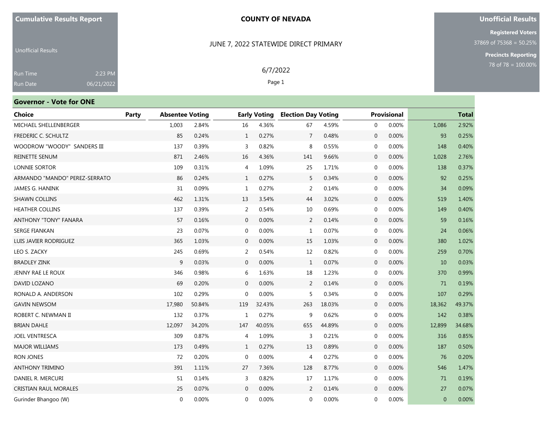#### JUNE 7, 2022 STATEWIDE DIRECT PRIMARY

6/7/2022 Page 1

#### **Unofficial Results**

**Registered Voters** 37869 of 75368 = 50.25%

**Precincts Reporting**

Unofficial Results Run Date 2:23 PM 06/21/2022

# **Governor - Vote for ONE**

| <b>Choice</b>                 | Party | <b>Absentee Voting</b> |        |                | <b>Early Voting</b> |                | <b>Election Day Voting</b> |                | <b>Provisional</b> |          | <b>Total</b> |
|-------------------------------|-------|------------------------|--------|----------------|---------------------|----------------|----------------------------|----------------|--------------------|----------|--------------|
| MICHAEL SHELLENBERGER         |       | 1,003                  | 2.84%  | 16             | 4.36%               | 67             | 4.59%                      | $\mathbf{0}$   | 0.00%              | 1,086    | 2.92%        |
| FREDERIC C. SCHULTZ           |       | 85                     | 0.24%  | $\mathbf{1}$   | 0.27%               | $\overline{7}$ | 0.48%                      | $\mathbf 0$    | 0.00%              | 93       | 0.25%        |
| WOODROW "WOODY" SANDERS III   |       | 137                    | 0.39%  | 3              | 0.82%               | 8              | 0.55%                      | $\mathbf 0$    | 0.00%              | 148      | 0.40%        |
| REINETTE SENUM                |       | 871                    | 2.46%  | 16             | 4.36%               | 141            | 9.66%                      | $\mathbf{0}$   | 0.00%              | 1,028    | 2.76%        |
| <b>LONNIE SORTOR</b>          |       | 109                    | 0.31%  | $\overline{4}$ | 1.09%               | 25             | 1.71%                      | $\mathbf 0$    | 0.00%              | 138      | 0.37%        |
| ARMANDO "MANDO" PEREZ-SERRATO |       | 86                     | 0.24%  | 1              | 0.27%               | 5.             | 0.34%                      | $\mathbf 0$    | 0.00%              | 92       | 0.25%        |
| JAMES G. HANINK               |       | 31                     | 0.09%  | 1              | 0.27%               | 2              | 0.14%                      | $\mathbf 0$    | 0.00%              | 34       | 0.09%        |
| <b>SHAWN COLLINS</b>          |       | 462                    | 1.31%  | 13             | 3.54%               | 44             | 3.02%                      | $\mathbf 0$    | 0.00%              | 519      | 1.40%        |
| <b>HEATHER COLLINS</b>        |       | 137                    | 0.39%  | 2              | 0.54%               | 10             | 0.69%                      | $\mathbf 0$    | 0.00%              | 149      | 0.40%        |
| ANTHONY "TONY" FANARA         |       | 57                     | 0.16%  | $\mathbf{0}$   | 0.00%               | 2              | 0.14%                      | $\mathbf 0$    | 0.00%              | 59       | 0.16%        |
| <b>SERGE FIANKAN</b>          |       | 23                     | 0.07%  | $\mathbf 0$    | 0.00%               | 1              | 0.07%                      | $\mathbf 0$    | 0.00%              | 24       | 0.06%        |
| LUIS JAVIER RODRIGUEZ         |       | 365                    | 1.03%  | $\mathbf 0$    | 0.00%               | 15             | 1.03%                      | $\mathbf 0$    | 0.00%              | 380      | 1.02%        |
| LEO S. ZACKY                  |       | 245                    | 0.69%  | 2              | 0.54%               | 12             | 0.82%                      | $\mathbf 0$    | 0.00%              | 259      | 0.70%        |
| <b>BRADLEY ZINK</b>           |       | 9                      | 0.03%  | $\mathbf{0}$   | 0.00%               | $\mathbf{1}$   | 0.07%                      | $\mathbf 0$    | 0.00%              | 10       | 0.03%        |
| JENNY RAE LE ROUX             |       | 346                    | 0.98%  | 6              | 1.63%               | 18             | 1.23%                      | $\mathbf 0$    | 0.00%              | 370      | 0.99%        |
| DAVID LOZANO                  |       | 69                     | 0.20%  | $\mathbf 0$    | 0.00%               | 2              | 0.14%                      | $\mathbf 0$    | 0.00%              | 71       | 0.19%        |
| RONALD A. ANDERSON            |       | 102                    | 0.29%  | $\mathbf 0$    | 0.00%               | 5              | 0.34%                      | $\mathbf 0$    | 0.00%              | 107      | 0.29%        |
| <b>GAVIN NEWSOM</b>           |       | 17,980                 | 50.84% | 119            | 32.43%              | 263            | 18.03%                     | $\overline{0}$ | 0.00%              | 18,362   | 49.37%       |
| ROBERT C. NEWMAN II           |       | 132                    | 0.37%  | 1              | 0.27%               | 9              | 0.62%                      | $\mathbf 0$    | 0.00%              | 142      | 0.38%        |
| <b>BRIAN DAHLE</b>            |       | 12,097                 | 34.20% | 147            | 40.05%              | 655            | 44.89%                     | $\mathbf 0$    | 0.00%              | 12,899   | 34.68%       |
| <b>JOEL VENTRESCA</b>         |       | 309                    | 0.87%  | $\overline{4}$ | 1.09%               | 3              | 0.21%                      | $\mathbf 0$    | 0.00%              | 316      | 0.85%        |
| <b>MAJOR WILLIAMS</b>         |       | 173                    | 0.49%  | 1              | 0.27%               | 13             | 0.89%                      | $\mathbf 0$    | 0.00%              | 187      | 0.50%        |
| <b>RON JONES</b>              |       | 72                     | 0.20%  | $\mathbf 0$    | 0.00%               | 4              | 0.27%                      | $\mathbf 0$    | 0.00%              | 76       | 0.20%        |
| <b>ANTHONY TRIMINO</b>        |       | 391                    | 1.11%  | 27             | 7.36%               | 128            | 8.77%                      | $\mathbf{0}$   | 0.00%              | 546      | 1.47%        |
| DANIEL R. MERCURI             |       | 51                     | 0.14%  | 3              | 0.82%               | 17             | 1.17%                      | $\mathbf 0$    | 0.00%              | 71       | 0.19%        |
| <b>CRISTIAN RAUL MORALES</b>  |       | 25                     | 0.07%  | $\mathbf{0}$   | 0.00%               | 2              | 0.14%                      | $\mathbf 0$    | 0.00%              | 27       | 0.07%        |
| Gurinder Bhangoo (W)          |       | $\mathbf{0}$           | 0.00%  | $\Omega$       | 0.00%               | $\mathbf{0}$   | 0.00%                      | 0              | 0.00%              | $\Omega$ | 0.00%        |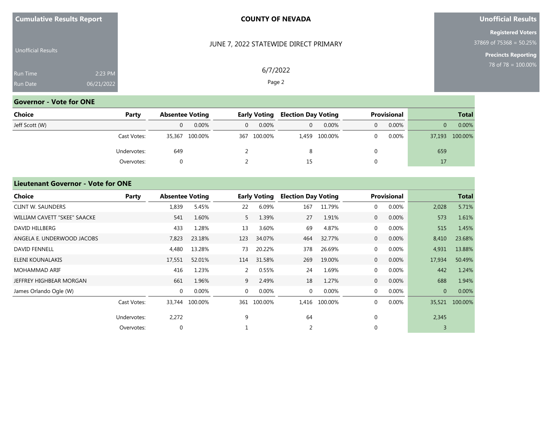| <b>Cumulative Results Report</b> |  |  |
|----------------------------------|--|--|
|----------------------------------|--|--|

JUNE 7, 2022 STATEWIDE DIRECT PRIMARY

6/7/2022 Page 2

#### **Unofficial Results**

**Registered Voters** 37869 of 75368 = 50.25%

**Precincts Reporting**

|                 | <b>Unofficial Results</b> |            |  |
|-----------------|---------------------------|------------|--|
| <b>Run Time</b> |                           | 2:23 PM    |  |
| <b>Run Date</b> |                           | 06/21/2022 |  |

# **Governor - Vote for ONE**

| Choice         | Party       |          | <b>Absentee Voting</b> |  | Early Voting |    | <b>Election Day Voting</b> |   | <b>Provisional</b> | <b>Total</b> |                |
|----------------|-------------|----------|------------------------|--|--------------|----|----------------------------|---|--------------------|--------------|----------------|
| Jeff Scott (W) |             | $\Omega$ | 0.00%                  |  | $0.00\%$     | 0  | 0.00%                      | 0 | $0.00\%$           | 0            | 0.00%          |
|                | Cast Votes: | 35,367   | 100.00%                |  | 367 100.00%  |    | 1,459 100.00%              |   | 0.00%              |              | 37,193 100.00% |
|                | Undervotes: | 649      |                        |  |              | 8  |                            |   |                    | 659          |                |
|                | Overvotes:  |          |                        |  |              | 15 |                            |   |                    | 17           |                |

#### **Lieutenant Governor - Vote for ONE**

| <b>Choice</b>                | Party       | <b>Absentee Voting</b> |                |                | <b>Early Voting</b> | <b>Election Day Voting</b> |         |                | <b>Provisional</b> |                | <b>Total</b> |
|------------------------------|-------------|------------------------|----------------|----------------|---------------------|----------------------------|---------|----------------|--------------------|----------------|--------------|
| <b>CLINT W. SAUNDERS</b>     |             | 1,839                  | 5.45%          | 22             | 6.09%               | 167                        | 11.79%  | $\mathbf{0}$   | 0.00%              | 2,028          | 5.71%        |
| WILLIAM CAVETT "SKEE" SAACKE |             | 541                    | 1.60%          | 5              | 1.39%               | 27                         | 1.91%   | $\overline{0}$ | 0.00%              | 573            | 1.61%        |
| DAVID HILLBERG               |             | 433                    | 1.28%          | 13             | 3.60%               | 69                         | 4.87%   | $\mathbf 0$    | 0.00%              | 515            | 1.45%        |
| ANGELA E. UNDERWOOD JACOBS   |             | 7,823                  | 23.18%         | 123            | 34.07%              | 464                        | 32.77%  | $\overline{0}$ | 0.00%              | 8,410          | 23.68%       |
| <b>DAVID FENNELL</b>         |             | 4,480                  | 13.28%         | 73             | 20.22%              | 378                        | 26.69%  | $\mathbf{0}$   | 0.00%              | 4,931          | 13.88%       |
| ELENI KOUNALAKIS             |             | 17,551                 | 52.01%         | 114            | 31.58%              | 269                        | 19.00%  | $\overline{0}$ | 0.00%              | 17,934         | 50.49%       |
| <b>MOHAMMAD ARIF</b>         |             | 416                    | 1.23%          | 2              | 0.55%               | 24                         | 1.69%   | $\mathbf 0$    | 0.00%              | 442            | 1.24%        |
| JEFFREY HIGHBEAR MORGAN      |             | 661                    | 1.96%          | 9              | 2.49%               | 18                         | 1.27%   | $\overline{0}$ | 0.00%              | 688            | 1.94%        |
| James Orlando Ogle (W)       |             | $\mathbf 0$            | 0.00%          | $\overline{0}$ | 0.00%               | $\mathbf{0}$               | 0.00%   | $\mathbf{0}$   | 0.00%              | $\overline{0}$ | 0.00%        |
|                              | Cast Votes: |                        | 33,744 100.00% | 361            | 100.00%             | 1,416                      | 100.00% | $\mathbf{0}$   | 0.00%              | 35,521         | 100.00%      |
|                              | Undervotes: | 2,272                  |                | 9              |                     | 64                         |         | $\mathbf 0$    |                    | 2,345          |              |
|                              | Overvotes:  | $\mathbf 0$            |                |                |                     | 2                          |         | $\Omega$       |                    |                |              |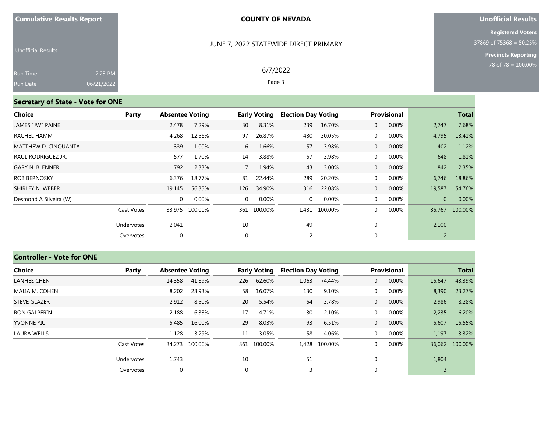#### JUNE 7, 2022 STATEWIDE DIRECT PRIMARY

6/7/2022 Page 3

#### **Unofficial Results**

**Registered Voters** 37869 of 75368 = 50.25%

**Precincts Reporting**

| <b>Unofficial Results</b> |            |  |
|---------------------------|------------|--|
| <b>Run Time</b>           | 2:23 PM    |  |
| Run Date                  | 06/21/2022 |  |

# **Secretary of State - Vote for ONE**

| Choice                 | Party       | <b>Absentee Voting</b> |         |             | <b>Early Voting</b> | <b>Election Day Voting</b> |               |                | <b>Provisional</b> |          | <b>Total</b> |
|------------------------|-------------|------------------------|---------|-------------|---------------------|----------------------------|---------------|----------------|--------------------|----------|--------------|
| JAMES "JW" PAINE       |             | 2,478                  | 7.29%   | 30          | 8.31%               | 239                        | 16.70%        | $\overline{0}$ | 0.00%              | 2,747    | 7.68%        |
| RACHEL HAMM            |             | 4,268                  | 12.56%  | 97          | 26.87%              | 430                        | 30.05%        | $\overline{0}$ | $0.00\%$           | 4,795    | 13.41%       |
| MATTHEW D. CINQUANTA   |             | 339                    | 1.00%   | 6           | 1.66%               | 57                         | 3.98%         | $\overline{0}$ | 0.00%              | 402      | 1.12%        |
| RAUL RODRIGUEZ JR.     |             | 577                    | 1.70%   | 14          | 3.88%               | 57                         | 3.98%         | $\overline{0}$ | 0.00%              | 648      | 1.81%        |
| <b>GARY N. BLENNER</b> |             | 792                    | 2.33%   | $7^{\circ}$ | 1.94%               | 43                         | 3.00%         | $\overline{0}$ | $0.00\%$           | 842      | 2.35%        |
| <b>ROB BERNOSKY</b>    |             | 6,376                  | 18.77%  | 81          | 22.44%              | 289                        | 20.20%        | $\overline{0}$ | 0.00%              | 6,746    | 18.86%       |
| SHIRLEY N. WEBER       |             | 19,145                 | 56.35%  | 126         | 34.90%              | 316                        | 22.08%        | $\overline{0}$ | 0.00%              | 19,587   | 54.76%       |
| Desmond A Silveira (W) |             | $\mathbf{0}$           | 0.00%   | $\Omega$    | $0.00\%$            | $\mathbf 0$                | 0.00%         | $\overline{0}$ | 0.00%              | $\Omega$ | 0.00%        |
|                        | Cast Votes: | 33,975                 | 100.00% |             | 361 100.00%         |                            | 1,431 100.00% | $\overline{0}$ | 0.00%              | 35,767   | 100.00%      |
|                        | Undervotes: | 2,041                  |         | 10          |                     | 49                         |               | $\mathbf 0$    |                    | 2,100    |              |
|                        | Overvotes:  | $\mathbf 0$            |         | $\mathbf 0$ |                     | 2                          |               | $\Omega$       |                    | 2        |              |

# **Controller - Vote for ONE**

| <b>Choice</b>       | Party       | <b>Absentee Voting</b> |         |             | <b>Early Voting</b> | <b>Election Day Voting</b> |         |                | <b>Provisional</b> |        | <b>Total</b>   |
|---------------------|-------------|------------------------|---------|-------------|---------------------|----------------------------|---------|----------------|--------------------|--------|----------------|
| <b>LANHEE CHEN</b>  |             | 14,358                 | 41.89%  | 226         | 62.60%              | 1,063                      | 74.44%  | $\overline{0}$ | 0.00%              | 15,647 | 43.39%         |
| MALIA M. COHEN      |             | 8,202                  | 23.93%  | 58          | 16.07%              | 130                        | 9.10%   | $\mathbf 0$    | 0.00%              | 8,390  | 23.27%         |
| <b>STEVE GLAZER</b> |             | 2,912                  | 8.50%   | 20          | 5.54%               | 54                         | 3.78%   | $\overline{0}$ | 0.00%              | 2,986  | 8.28%          |
| <b>RON GALPERIN</b> |             | 2,188                  | 6.38%   | 17          | 4.71%               | 30                         | 2.10%   | $\mathbf 0$    | 0.00%              | 2,235  | 6.20%          |
| <b>YVONNE YIU</b>   |             | 5,485                  | 16.00%  | 29          | 8.03%               | 93                         | 6.51%   | $\overline{0}$ | 0.00%              | 5,607  | 15.55%         |
| <b>LAURA WELLS</b>  |             | 1,128                  | 3.29%   | 11          | 3.05%               | 58                         | 4.06%   | $\mathbf{0}$   | 0.00%              | 1,197  | 3.32%          |
|                     | Cast Votes: | 34,273                 | 100.00% |             | 361 100.00%         | 1,428                      | 100.00% | $\Omega$       | 0.00%              |        | 36,062 100.00% |
|                     | Undervotes: | 1,743                  |         | 10          |                     | 51                         |         | $\Omega$       |                    | 1,804  |                |
|                     | Overvotes:  | $\mathbf{0}$           |         | $\mathbf 0$ |                     | 3                          |         |                |                    | 3      |                |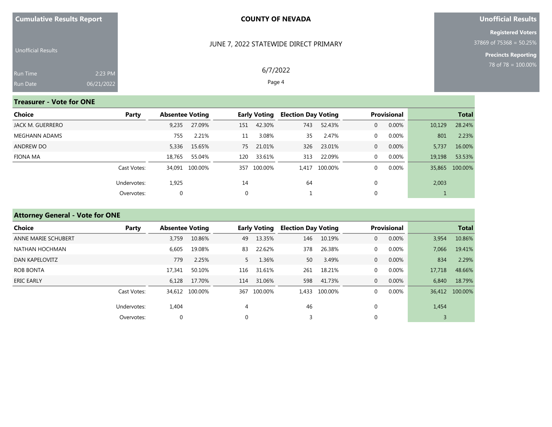|  |  |  | <b>Cumulative Results Report</b> |
|--|--|--|----------------------------------|
|--|--|--|----------------------------------|

#### JUNE 7, 2022 STATEWIDE DIRECT PRIMARY

6/7/2022 Page 4

#### **Unofficial Results**

**Registered Voters** 37869 of 75368 = 50.25%

**Precincts Reporting**

| Unofficial Results |            |  |
|--------------------|------------|--|
| <b>Run Time</b>    | $2:23$ PM  |  |
| Run Date           | 06/21/2022 |  |

# **Treasurer - Vote for ONE**

| Choice           | Party       |        | <b>Absentee Voting</b> |     | <b>Early Voting</b> |     | <b>Election Day Voting</b> |   | <b>Provisional</b> | <b>Total</b> |                |
|------------------|-------------|--------|------------------------|-----|---------------------|-----|----------------------------|---|--------------------|--------------|----------------|
| JACK M. GUERRERO |             | 9,235  | 27.09%                 | 151 | 42.30%              | 743 | 52.43%                     | 0 | 0.00%              | 10,129       | 28.24%         |
| MEGHANN ADAMS    |             | 755    | 2.21%                  | 11  | 3.08%               | 35  | 2.47%                      | 0 | 0.00%              | 801          | 2.23%          |
| <b>ANDREW DO</b> |             | 5,336  | 15.65%                 | 75  | 21.01%              | 326 | 23.01%                     | 0 | 0.00%              | 5.737        | 16.00%         |
| FIONA MA         |             | 18,765 | 55.04%                 | 120 | 33.61%              | 313 | 22.09%                     | 0 | $0.00\%$           | 19,198       | 53.53%         |
|                  | Cast Votes: |        | 34,091 100.00%         | 357 | 100.00%             |     | 1,417 100.00%              | 0 | 0.00%              |              | 35,865 100.00% |
|                  | Undervotes: | 1,925  |                        | 14  |                     | 64  |                            |   |                    | 2,003        |                |
|                  | Overvotes:  | 0      |                        | 0   |                     |     |                            |   |                    |              |                |

# **Attorney General - Vote for ONE**

| Choice              | Party       | <b>Absentee Voting</b> |                |          | <b>Early Voting</b> | <b>Election Day Voting</b> |         |                | Provisional |        | <b>Total</b>   |
|---------------------|-------------|------------------------|----------------|----------|---------------------|----------------------------|---------|----------------|-------------|--------|----------------|
| ANNE MARIE SCHUBERT |             | 3,759                  | 10.86%         | 49       | 13.35%              | 146                        | 10.19%  | $\overline{0}$ | 0.00%       | 3,954  | 10.86%         |
| NATHAN HOCHMAN      |             | 6,605                  | 19.08%         | 83       | 22.62%              | 378                        | 26.38%  | $\mathbf{0}$   | 0.00%       | 7,066  | 19.41%         |
| DAN KAPELOVITZ      |             | 779                    | 2.25%          | $5 -$    | 1.36%               | 50                         | 3.49%   | $\overline{0}$ | 0.00%       | 834    | 2.29%          |
| <b>ROB BONTA</b>    |             | 17,341                 | 50.10%         | 116      | 31.61%              | 261                        | 18.21%  | $\mathbf{0}$   | 0.00%       | 17,718 | 48.66%         |
| <b>ERIC EARLY</b>   |             | 6,128                  | 17.70%         | 114      | 31.06%              | 598                        | 41.73%  | $\overline{0}$ | 0.00%       | 6,840  | 18.79%         |
|                     | Cast Votes: |                        | 34.612 100.00% | 367      | 100.00%             | 1.433                      | 100.00% | $\Omega$       | 0.00%       |        | 36,412 100.00% |
|                     | Undervotes: | 1,404                  |                | 4        |                     | 46                         |         | $\mathbf 0$    |             | 1,454  |                |
|                     | Overvotes:  | $\mathbf{0}$           |                | $\Omega$ |                     |                            |         | $\mathbf{0}$   |             |        |                |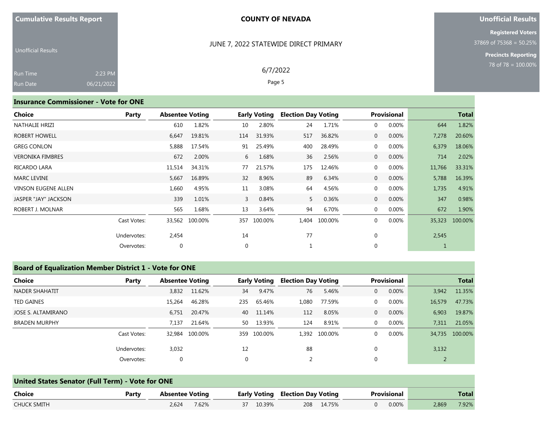#### JUNE 7, 2022 STATEWIDE DIRECT PRIMARY

6/7/2022 Page 5

#### **Unofficial Results**

**Registered Voters** 37869 of 75368 = 50.25%

> **Precincts Reporting** 78 of 78 = 100.00%

| <b>Unofficial Results</b> |            |  |
|---------------------------|------------|--|
| <b>Run Time</b>           | $2:23$ PM  |  |
| <b>Run Date</b>           | 06/21/2022 |  |

#### **Insurance Commissioner - Vote for ONE**

| <b>Choice</b>              | Party       | <b>Absentee Voting</b> |         |                 | <b>Early Voting</b> | <b>Election Day Voting</b> |         |                | <b>Provisional</b> |        | <b>Total</b> |
|----------------------------|-------------|------------------------|---------|-----------------|---------------------|----------------------------|---------|----------------|--------------------|--------|--------------|
| NATHALIE HRIZI             |             | 610                    | 1.82%   | 10              | 2.80%               | 24                         | 1.71%   | $\mathbf{0}$   | 0.00%              | 644    | 1.82%        |
| ROBERT HOWELL              |             | 6,647                  | 19.81%  | 114             | 31.93%              | 517                        | 36.82%  | $\overline{0}$ | 0.00%              | 7,278  | 20.60%       |
| <b>GREG CONLON</b>         |             | 5,888                  | 17.54%  | 91              | 25.49%              | 400                        | 28.49%  | 0              | 0.00%              | 6,379  | 18.06%       |
| <b>VERONIKA FIMBRES</b>    |             | 672                    | 2.00%   | 6               | 1.68%               | 36                         | 2.56%   | $\mathbf{0}$   | 0.00%              | 714    | 2.02%        |
| RICARDO LARA               |             | 11,514                 | 34.31%  | 77              | 21.57%              | 175                        | 12.46%  | 0              | 0.00%              | 11,766 | 33.31%       |
| <b>MARC LEVINE</b>         |             | 5,667                  | 16.89%  | 32 <sup>2</sup> | 8.96%               | 89                         | 6.34%   | $\overline{0}$ | 0.00%              | 5,788  | 16.39%       |
| <b>VINSON EUGENE ALLEN</b> |             | 1,660                  | 4.95%   | 11              | 3.08%               | 64                         | 4.56%   | $\overline{0}$ | 0.00%              | 1,735  | 4.91%        |
| JASPER "JAY" JACKSON       |             | 339                    | 1.01%   | $\mathbf{3}$    | 0.84%               | 5                          | 0.36%   | $\overline{0}$ | 0.00%              | 347    | 0.98%        |
| ROBERT J. MOLNAR           |             | 565                    | 1.68%   | 13              | 3.64%               | 94                         | 6.70%   | $\mathbf{0}$   | 0.00%              | 672    | 1.90%        |
|                            | Cast Votes: | 33,562                 | 100.00% | 357             | 100.00%             | 1,404                      | 100.00% | $\mathbf 0$    | 0.00%              | 35,323 | 100.00%      |
|                            | Undervotes: | 2,454                  |         | 14              |                     | 77                         |         | $\mathbf 0$    |                    | 2,545  |              |
|                            | Overvotes:  | 0                      |         | $\mathbf 0$     |                     |                            |         | $\mathbf 0$    |                    |        |              |

#### **Board of Equalization Member District 1 - Vote for ONE**

| <b>Choice</b>        | Party       | <b>Absentee Voting</b> |                |              | <b>Early Voting</b> | <b>Election Day Voting</b> |               |              | <b>Provisional</b> |        | <b>Total</b>   |
|----------------------|-------------|------------------------|----------------|--------------|---------------------|----------------------------|---------------|--------------|--------------------|--------|----------------|
| NADER SHAHATIT       |             | 3,832                  | 11.62%         | 34           | 9.47%               | 76                         | 5.46%         | $\mathbf{0}$ | 0.00%              | 3,942  | 11.35%         |
| <b>TED GAINES</b>    |             | 15,264                 | 46.28%         | 235          | 65.46%              | 1,080                      | 77.59%        | $\mathbf{0}$ | 0.00%              | 16,579 | 47.73%         |
| JOSE S. ALTAMIRANO   |             | 6,751                  | 20.47%         | 40           | 11.14%              | 112                        | 8.05%         | $\mathbf{0}$ | 0.00%              | 6,903  | 19.87%         |
| <b>BRADEN MURPHY</b> |             | 7.137                  | 21.64%         | 50           | 13.93%              | 124                        | 8.91%         | $\mathbf{0}$ | $0.00\%$           | 7,311  | 21.05%         |
|                      | Cast Votes: |                        | 32,984 100.00% |              | 359 100.00%         |                            | 1,392 100.00% | $\Omega$     | 0.00%              |        | 34,735 100.00% |
|                      | Undervotes: | 3,032                  |                | 12           |                     | 88                         |               | $\Omega$     |                    | 3,132  |                |
|                      | Overvotes:  | 0                      |                | $\mathbf{0}$ |                     |                            |               | 0            |                    |        |                |

|                    | United States Senator (Full Term) - Vote for ONE |                        |       |  |                                         |  |             |  |       |       |       |  |  |
|--------------------|--------------------------------------------------|------------------------|-------|--|-----------------------------------------|--|-------------|--|-------|-------|-------|--|--|
| Choice             | Party                                            | <b>Absentee Voting</b> |       |  | <b>Early Voting Election Day Voting</b> |  | Provisional |  |       | Total |       |  |  |
| <b>CHUCK SMITH</b> |                                                  | 2.624                  | 7.62% |  | 37 10.39%                               |  | 208 14.75%  |  | 0.00% | 2.869 | 7.92% |  |  |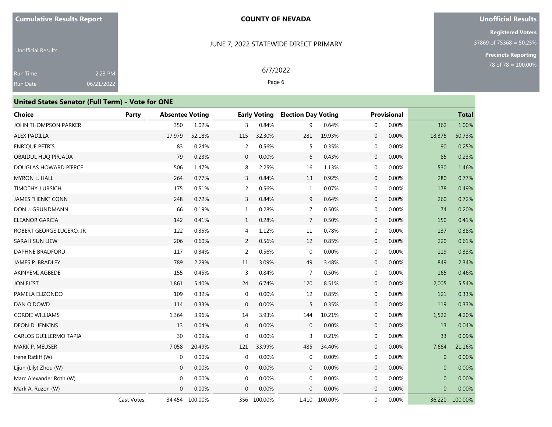#### **Unofficial Results**

**Registered Voters** 37869 of 75368 = 50.25%

> **Precincts Reporting** 78 of 78 = 100.00%

Unofficial Results Run Time Run Date 2:23 PM 06/21/2022

## JUNE 7, 2022 STATEWIDE DIRECT PRIMARY

6/7/2022 Page 6

| <b>United States Senator (Full Term) - Vote for ONE</b> |             |                        |         |                |                     |                            |         |                            |                |              |
|---------------------------------------------------------|-------------|------------------------|---------|----------------|---------------------|----------------------------|---------|----------------------------|----------------|--------------|
| <b>Choice</b>                                           | Party       | <b>Absentee Voting</b> |         |                | <b>Early Voting</b> | <b>Election Day Voting</b> |         | <b>Provisional</b>         |                | <b>Total</b> |
| JOHN THOMPSON PARKER                                    |             | 350                    | 1.02%   | 3              | 0.84%               | 9                          | 0.64%   | 0.00%<br>$\mathbf{0}$      | 362            | 1.00%        |
| ALEX PADILLA                                            |             | 17,979                 | 52.18%  | 115            | 32.30%              | 281                        | 19.93%  | $\overline{0}$<br>$0.00\%$ | 18,375         | 50.73%       |
| <b>ENRIQUE PETRIS</b>                                   |             | 83                     | 0.24%   | 2              | 0.56%               | 5                          | 0.35%   | 0.00%<br>$\mathbf{0}$      | 90             | 0.25%        |
| OBAIDUL HUO PIRJADA                                     |             | 79                     | 0.23%   | $\mathbf{0}$   | 0.00%               | 6                          | 0.43%   | $\mathbf 0$<br>0.00%       | 85             | 0.23%        |
| DOUGLAS HOWARD PIERCE                                   |             | 506                    | 1.47%   | 8              | 2.25%               | 16                         | 1.13%   | 0.00%<br>$\mathbf 0$       | 530            | 1.46%        |
| <b>MYRON L. HALL</b>                                    |             | 264                    | 0.77%   | 3              | 0.84%               | 13                         | 0.92%   | 0.00%<br>$\mathbf 0$       | 280            | 0.77%        |
| <b>TIMOTHY J URSICH</b>                                 |             | 175                    | 0.51%   | 2              | 0.56%               | 1                          | 0.07%   | 0<br>0.00%                 | 178            | 0.49%        |
| <b>JAMES "HENK" CONN</b>                                |             | 248                    | 0.72%   | 3              | 0.84%               | 9                          | 0.64%   | 0.00%<br>$\mathbf 0$       | 260            | 0.72%        |
| DON J. GRUNDMANN                                        |             | 66                     | 0.19%   | $\mathbf{1}$   | 0.28%               | $\overline{7}$             | 0.50%   | $\mathbf 0$<br>0.00%       | 74             | 0.20%        |
| <b>ELEANOR GARCIA</b>                                   |             | 142                    | 0.41%   | $\mathbf{1}$   | 0.28%               | 7                          | 0.50%   | 0.00%<br>$\mathbf 0$       | 150            | 0.41%        |
| ROBERT GEORGE LUCERO, JR                                |             | 122                    | 0.35%   | 4              | 1.12%               | 11                         | 0.78%   | $0.00\%$<br>0              | 137            | 0.38%        |
| SARAH SUN LIEW                                          |             | 206                    | 0.60%   | 2              | 0.56%               | 12                         | 0.85%   | 0.00%<br>$\mathbf 0$       | 220            | 0.61%        |
| DAPHNE BRADFORD                                         |             | 117                    | 0.34%   | 2              | 0.56%               | $\mathbf 0$                | 0.00%   | 0.00%<br>$\mathbf 0$       | 119            | 0.33%        |
| JAMES P. BRADLEY                                        |             | 789                    | 2.29%   | 11             | 3.09%               | 49                         | 3.48%   | 0.00%<br>$\mathbf 0$       | 849            | 2.34%        |
| AKINYEMI AGBEDE                                         |             | 155                    | 0.45%   | $\overline{3}$ | 0.84%               | 7                          | 0.50%   | 0<br>0.00%                 | 165            | 0.46%        |
| <b>JON ELIST</b>                                        |             | 1,861                  | 5.40%   | 24             | 6.74%               | 120                        | 8.51%   | $\mathbf 0$<br>0.00%       | 2,005          | 5.54%        |
| PAMELA ELIZONDO                                         |             | 109                    | 0.32%   | $\mathbf{0}$   | 0.00%               | 12                         | 0.85%   | 0.00%<br>0                 | 121            | 0.33%        |
| DAN O'DOWD                                              |             | 114                    | 0.33%   | $\mathbf 0$    | 0.00%               | 5                          | 0.35%   | $\mathbf 0$<br>0.00%       | 119            | 0.33%        |
| <b>CORDIE WILLIAMS</b>                                  |             | 1,364                  | 3.96%   | 14             | 3.93%               | 144                        | 10.21%  | 0.00%<br>$\mathbf 0$       | 1,522          | 4.20%        |
| DEON D. JENKINS                                         |             | 13                     | 0.04%   | $\mathbf{0}$   | 0.00%               | $\mathbf{0}$               | 0.00%   | 0.00%<br>$\overline{0}$    | 13             | 0.04%        |
| CARLOS GUILLERMO TAPIA                                  |             | 30                     | 0.09%   | $\mathbf{0}$   | 0.00%               | 3                          | 0.21%   | $\mathbf 0$<br>0.00%       | 33             | 0.09%        |
| <b>MARK P. MEUSER</b>                                   |             | 7,058                  | 20.49%  | 121            | 33.99%              | 485                        | 34.40%  | $\mathbf{0}$<br>0.00%      | 7,664          | 21.16%       |
| Irene Ratliff (W)                                       |             | $\boldsymbol{0}$       | 0.00%   | $\mathbf{0}$   | 0.00%               | $\mathbf{0}$               | 0.00%   | 0.00%<br>$\mathbf 0$       | $\overline{0}$ | 0.00%        |
| Lijun (Lily) Zhou (W)                                   |             | $\mathbf{0}$           | 0.00%   | $\mathbf{0}$   | 0.00%               | $\mathbf 0$                | 0.00%   | $\mathbf 0$<br>0.00%       | $\mathbf{0}$   | 0.00%        |
| Marc Alexander Roth (W)                                 |             | $\mathbf{0}$           | 0.00%   | $\mathbf 0$    | 0.00%               | $\mathbf 0$                | 0.00%   | 0<br>0.00%                 | $\mathbf{0}$   | 0.00%        |
| Mark A. Ruzon (W)                                       |             | $\Omega$               | 0.00%   | $\Omega$       | 0.00%               | $\mathbf{0}$               | 0.00%   | 0.00%<br>$\overline{0}$    | $\overline{0}$ | 0.00%        |
|                                                         | Cast Votes: | 34,454                 | 100.00% | 356            | 100.00%             | 1,410                      | 100.00% | $\mathbf{0}$<br>0.00%      | 36,220         | 100.00%      |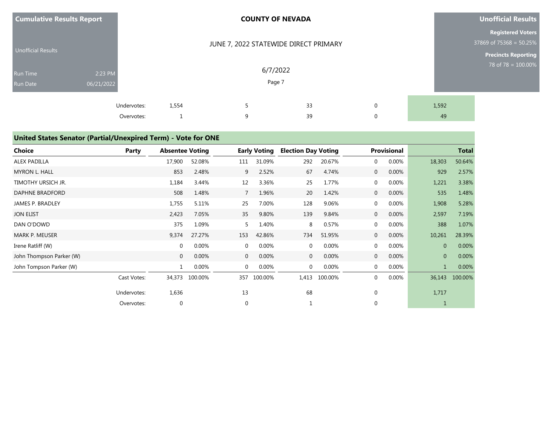| <b>Cumulative Results Report</b> |                           |       | <b>COUNTY OF NEVADA</b>               |          |                            |             | <b>Unofficial Results</b>                                                         |
|----------------------------------|---------------------------|-------|---------------------------------------|----------|----------------------------|-------------|-----------------------------------------------------------------------------------|
| <b>Unofficial Results</b>        |                           |       | JUNE 7, 2022 STATEWIDE DIRECT PRIMARY |          |                            |             | <b>Registered Voters</b><br>37869 of 75368 = 50.25%<br><b>Precincts Reporting</b> |
| Run Time<br>Run Date             | 2:23 PM<br>06/21/2022     |       | 6/7/2022<br>Page 7                    |          | 78 of 78 = $100.00\%$      |             |                                                                                   |
|                                  | Undervotes:<br>Overvotes: | 1,554 | q                                     | 33<br>39 | $\mathbf 0$<br>$\mathbf 0$ | 1,592<br>49 |                                                                                   |

# **United States Senator (Partial/Unexpired Term) - Vote for ONE**

| <b>Choice</b>            | Party       | <b>Absentee Voting</b> |         |              | <b>Early Voting</b> | <b>Election Day Voting</b> |         |                | <b>Provisional</b> |              | <b>Total</b> |
|--------------------------|-------------|------------------------|---------|--------------|---------------------|----------------------------|---------|----------------|--------------------|--------------|--------------|
| <b>ALEX PADILLA</b>      |             | 17,900                 | 52.08%  | 111          | 31.09%              | 292                        | 20.67%  | $\mathbf{0}$   | 0.00%              | 18,303       | 50.64%       |
| <b>MYRON L. HALL</b>     |             | 853                    | 2.48%   | 9            | 2.52%               | 67                         | 4.74%   | $\mathbf 0$    | 0.00%              | 929          | 2.57%        |
| TIMOTHY URSICH JR.       |             | 1,184                  | 3.44%   | 12           | 3.36%               | 25                         | 1.77%   | 0              | 0.00%              | 1,221        | 3.38%        |
| DAPHNE BRADFORD          |             | 508                    | 1.48%   | 7            | 1.96%               | 20                         | 1.42%   | $\mathbf{0}$   | 0.00%              | 535          | 1.48%        |
| <b>JAMES P. BRADLEY</b>  |             | 1,755                  | 5.11%   | 25           | 7.00%               | 128                        | 9.06%   | $\mathbf{0}$   | 0.00%              | 1,908        | 5.28%        |
| <b>JON ELIST</b>         |             | 2,423                  | 7.05%   | 35           | 9.80%               | 139                        | 9.84%   | $\overline{0}$ | 0.00%              | 2,597        | 7.19%        |
| DAN O'DOWD               |             | 375                    | 1.09%   | 5            | 1.40%               | 8                          | 0.57%   | 0              | 0.00%              | 388          | 1.07%        |
| <b>MARK P. MEUSER</b>    |             | 9,374                  | 27.27%  | 153          | 42.86%              | 734                        | 51.95%  | $\mathbf{0}$   | 0.00%              | 10,261       | 28.39%       |
| Irene Ratliff (W)        |             | $\mathbf 0$            | 0.00%   | $\mathbf{0}$ | 0.00%               | 0                          | 0.00%   | $\mathbf 0$    | 0.00%              | $\mathbf{0}$ | 0.00%        |
| John Thompson Parker (W) |             | $\mathbf{0}$           | 0.00%   | $\mathbf{0}$ | 0.00%               | $\overline{0}$             | 0.00%   | $\overline{0}$ | 0.00%              | $\mathbf{0}$ | 0.00%        |
| John Tompson Parker (W)  |             | $\mathbf{1}$           | 0.00%   | $\mathbf{0}$ | 0.00%               | 0                          | 0.00%   | $\mathbf{0}$   | 0.00%              | $\mathbf{1}$ | $0.00\%$     |
|                          | Cast Votes: | 34,373                 | 100.00% | 357          | 100.00%             | 1,413                      | 100.00% | 0              | 0.00%              | 36,143       | 100.00%      |
|                          | Undervotes: | 1,636                  |         | 13           |                     | 68                         |         | $\mathbf 0$    |                    | 1,717        |              |
|                          | Overvotes:  | $\mathbf{0}$           |         | $\mathbf{0}$ |                     |                            |         | 0              |                    |              |              |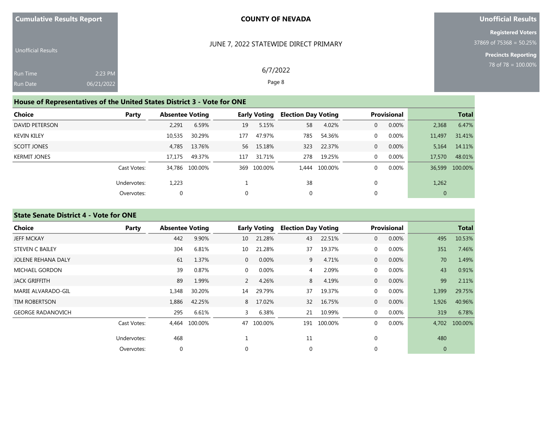| <b>Cumulative Results Report</b> |  |  |
|----------------------------------|--|--|
|                                  |  |  |

#### **Unofficial Results**

**Registered Voters** 37869 of 75368 = 50.25%

> **Precincts Reporting** 78 of 78 = 100.00%

| <b>Unofficial Results</b> |            |  |
|---------------------------|------------|--|
| <b>Run Time</b>           | $2:23$ PM  |  |
| <b>Run Date</b>           | 06/21/2022 |  |

6/7/2022

JUNE 7, 2022 STATEWIDE DIRECT PRIMARY

Page 8

# **House of Representatives of the United States District 3 - Vote for ONE**

| Choice              | Party       | <b>Absentee Voting</b> |                |     | <b>Early Voting</b> | <b>Election Day Voting</b> |               |              | <b>Provisional</b> |                | <b>Total</b>   |
|---------------------|-------------|------------------------|----------------|-----|---------------------|----------------------------|---------------|--------------|--------------------|----------------|----------------|
| DAVID PETERSON      |             | 2,291                  | 6.59%          | 19  | 5.15%               | 58                         | 4.02%         | $\mathbf{0}$ | 0.00%              | 2,368          | 6.47%          |
| <b>KEVIN KILEY</b>  |             | 10,535                 | 30.29%         | 177 | 47.97%              | 785                        | 54.36%        | $\Omega$     | 0.00%              | 11,497         | 31.41%         |
| SCOTT JONES         |             | 4.785                  | 13.76%         | 56  | 15.18%              | 323                        | 22.37%        | $\Omega$     | 0.00%              | 5.164          | 14.11%         |
| <b>KERMIT JONES</b> |             | 17.175                 | 49.37%         | 117 | 31.71%              | 278                        | 19.25%        | $\Omega$     | $0.00\%$           | 17,570         | 48.01%         |
|                     | Cast Votes: |                        | 34,786 100.00% |     | 369 100.00%         |                            | 1,444 100.00% | $\Omega$     | 0.00%              |                | 36,599 100.00% |
|                     | Undervotes: | 1,223                  |                |     |                     | 38                         |               |              |                    | 1,262          |                |
|                     | Overvotes:  | 0                      |                | 0   |                     | 0                          |               |              |                    | $\overline{0}$ |                |

# **State Senate District 4 - Vote for ONE**

| Choice                    | Party       | <b>Absentee Voting</b> |         |                | <b>Early Voting</b> | <b>Election Day Voting</b> |         |                  | <b>Provisional</b> |              | <b>Total</b>  |
|---------------------------|-------------|------------------------|---------|----------------|---------------------|----------------------------|---------|------------------|--------------------|--------------|---------------|
| <b>JEFF MCKAY</b>         |             | 442                    | 9.90%   | 10             | 21.28%              | 43                         | 22.51%  | $\mathbf 0$      | 0.00%              | 495          | 10.53%        |
| <b>STEVEN C BAILEY</b>    |             | 304                    | 6.81%   | 10             | 21.28%              | 37                         | 19.37%  | $\mathbf 0$      | 0.00%              | 351          | 7.46%         |
| <b>JOLENE REHANA DALY</b> |             | 61                     | 1.37%   | $\overline{0}$ | 0.00%               | 9                          | 4.71%   | $\overline{0}$   | 0.00%              | 70           | 1.49%         |
| <b>MICHAEL GORDON</b>     |             | 39                     | 0.87%   | $\overline{0}$ | 0.00%               | 4                          | 2.09%   | $\mathbf 0$      | 0.00%              | 43           | 0.91%         |
| <b>JACK GRIFFITH</b>      |             | 89                     | 1.99%   | 2              | 4.26%               | 8                          | 4.19%   | $\mathbf{0}$     | 0.00%              | 99           | 2.11%         |
| MARIE ALVARADO-GIL        |             | 1,348                  | 30.20%  | 14             | 29.79%              | 37                         | 19.37%  | $\mathbf{0}$     | 0.00%              | 1,399        | 29.75%        |
| <b>TIM ROBERTSON</b>      |             | 1,886                  | 42.25%  | 8              | 17.02%              | 32                         | 16.75%  | $\overline{0}$   | 0.00%              | 1,926        | 40.96%        |
| <b>GEORGE RADANOVICH</b>  |             | 295                    | 6.61%   | 3              | 6.38%               | 21                         | 10.99%  | $\mathbf{0}$     | 0.00%              | 319          | 6.78%         |
|                           | Cast Votes: | 4,464                  | 100.00% | 47             | 100.00%             | 191                        | 100.00% | $\mathbf{0}$     | 0.00%              |              | 4,702 100.00% |
|                           | Undervotes: | 468                    |         |                |                     | 11                         |         | $\mathbf 0$      |                    | 480          |               |
|                           | Overvotes:  | $\boldsymbol{0}$       |         | $\mathbf 0$    |                     | 0                          |         | $\boldsymbol{0}$ |                    | $\mathbf{0}$ |               |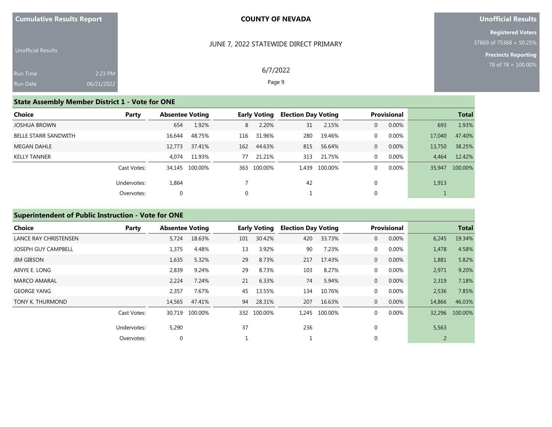| <b>Cumulative Results Report</b> |  |  |  |  |
|----------------------------------|--|--|--|--|
|----------------------------------|--|--|--|--|

#### **Unofficial Results**

**Registered Voters** 37869 of 75368 = 50.25%

> **Precincts Reporting** 78 of 78 = 100.00%

| <b>Unofficial Results</b> |            |
|---------------------------|------------|
| <b>Run Time</b>           | $2:23$ PM  |
| <b>Run Date</b>           | 06/21/2022 |

6/7/2022

JUNE 7, 2022 STATEWIDE DIRECT PRIMARY

Page 9

## **State Assembly Member District 1 - Vote for ONE**

| Choice                      | Party       | <b>Absentee Voting</b> |                |     | <b>Early Voting</b> | <b>Election Day Voting</b> |               |          | <b>Provisional</b> |        | <b>Total</b>   |
|-----------------------------|-------------|------------------------|----------------|-----|---------------------|----------------------------|---------------|----------|--------------------|--------|----------------|
| <b>JOSHUA BROWN</b>         |             | 654                    | 1.92%          | 8   | 2.20%               | 31                         | 2.15%         | 0        | 0.00%              | 693    | 1.93%          |
| <b>BELLE STARR SANDWITH</b> |             | 16,644                 | 48.75%         | 116 | 31.96%              | 280                        | 19.46%        | $\Omega$ | 0.00%              | 17,040 | 47.40%         |
| <b>MEGAN DAHLE</b>          |             | 12.773                 | 37.41%         | 162 | 44.63%              | 815                        | 56.64%        | 0        | 0.00%              | 13,750 | 38.25%         |
| <b>KELLY TANNER</b>         |             | 4.074                  | 11.93%         | 77  | 21.21%              | 313                        | 21.75%        | 0        | 0.00%              | 4.464  | 12.42%         |
|                             | Cast Votes: |                        | 34,145 100.00% |     | 363 100.00%         |                            | 1,439 100.00% |          | 0.00%              |        | 35,947 100.00% |
|                             | Undervotes: | 1,864                  |                |     |                     | 42                         |               |          |                    | 1,913  |                |
|                             | Overvotes:  | $\mathbf 0$            |                |     |                     |                            |               |          |                    |        |                |

## **Superintendent of Public Instruction - Vote for ONE**

| <b>Choice</b>              | Party       | <b>Absentee Voting</b> |         |     | <b>Early Voting</b> | <b>Election Day Voting</b> |         |                | <b>Provisional</b> |        | <b>Total</b>   |
|----------------------------|-------------|------------------------|---------|-----|---------------------|----------------------------|---------|----------------|--------------------|--------|----------------|
| LANCE RAY CHRISTENSEN      |             | 5,724                  | 18.63%  | 101 | 30.42%              | 420                        | 33.73%  | $\mathbf{0}$   | 0.00%              | 6,245  | 19.34%         |
| <b>JOSEPH GUY CAMPBELL</b> |             | 1,375                  | 4.48%   | 13  | 3.92%               | 90                         | 7.23%   | $\mathbf 0$    | $0.00\%$           | 1,478  | 4.58%          |
| <b>JIM GIBSON</b>          |             | 1,635                  | 5.32%   | 29  | 8.73%               | 217                        | 17.43%  | $\overline{0}$ | 0.00%              | 1,881  | 5.82%          |
| AINYE E. LONG              |             | 2,839                  | 9.24%   | 29  | 8.73%               | 103                        | 8.27%   | $\mathbf{0}$   | 0.00%              | 2,971  | 9.20%          |
| <b>MARCO AMARAL</b>        |             | 2,224                  | 7.24%   | 21  | 6.33%               | 74                         | 5.94%   | $\mathbf{0}$   | 0.00%              | 2,319  | 7.18%          |
| <b>GEORGE YANG</b>         |             | 2,357                  | 7.67%   | 45  | 13.55%              | 134                        | 10.76%  | $\mathbf{0}$   | $0.00\%$           | 2,536  | 7.85%          |
| TONY K. THURMOND           |             | 14,565                 | 47.41%  | 94  | 28.31%              | 207                        | 16.63%  | $\mathbf 0$    | 0.00%              | 14,866 | 46.03%         |
|                            | Cast Votes: | 30.719                 | 100.00% |     | 332 100.00%         | 1.245                      | 100.00% | $\mathbf 0$    | 0.00%              |        | 32,296 100.00% |
|                            | Undervotes: | 5,290                  |         | 37  |                     | 236                        |         | $\mathbf 0$    |                    | 5,563  |                |
|                            | Overvotes:  | $\mathbf 0$            |         |     |                     |                            |         | $\mathbf 0$    |                    | 2      |                |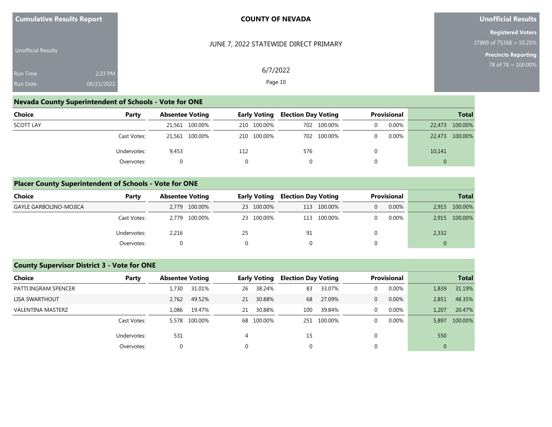| <b>Cumulative Results Report</b> |                       | <b>COUNTY OF NEVADA</b>               | Unofficial Results                                                                |
|----------------------------------|-----------------------|---------------------------------------|-----------------------------------------------------------------------------------|
| <b>Unofficial Results</b>        |                       | JUNE 7, 2022 STATEWIDE DIRECT PRIMARY | <b>Registered Voters</b><br>37869 of 75368 = 50.25%<br><b>Precincts Reporting</b> |
| Run Time<br><b>Run Date</b>      | 2:23 PM<br>06/21/2022 | 6/7/2022<br>Page 10                   | 78 of 78 = 100.00%                                                                |

## **Nevada County Superintendent of Schools - Vote for ONE**

| Choice           | Party       | <b>Absentee Voting</b> | Early Voting | <b>Election Day Voting</b> | Provisional | <b>Total</b>   |
|------------------|-------------|------------------------|--------------|----------------------------|-------------|----------------|
| <b>SCOTT LAY</b> |             | 21,561 100.00%         | 210 100.00%  | 702 100.00%                | 0.00%       | 22,473 100.00% |
|                  | Cast Votes: | 21,561 100.00%         | 210 100.00%  | 702 100.00%                | 0.00%       | 22,473 100.00% |
|                  | Undervotes: | 9,453                  | 112          | 576                        |             | 10,141         |
|                  | Overvotes:  |                        | $\Omega$     |                            |             | $\Omega$       |

## **Placer County Superintendent of Schools - Vote for ONE**

| Choice                        | Party       | <b>Absentee Voting</b> | <b>Early Voting</b> | <b>Election Day Voting</b> | <b>Provisional</b> | <b>Total</b>   |
|-------------------------------|-------------|------------------------|---------------------|----------------------------|--------------------|----------------|
| <b>GAYLE GARBOLINO-MOJICA</b> |             | 2,779 100.00%          | 23 100.00%          | 100.00%<br>113             | 0.00%<br>0         | 2,915 100.00%  |
|                               | Cast Votes: | 2.779 100.00%          | 23 100.00%          | 100.00%<br>113             | $0.00\%$           | 2,915 100.00%  |
|                               | Undervotes: | 2,216                  | 25                  |                            |                    | 2,332          |
|                               | Overvotes:  | 0                      |                     |                            |                    | $\overline{0}$ |

## **County Supervisor District 3 - Vote for ONE**

| Choice                   | Party       |       | <b>Absentee Voting</b> |    | Early Voting |     | <b>Election Day Voting</b> |              | <b>Provisional</b> | <b>Total</b> |         |
|--------------------------|-------------|-------|------------------------|----|--------------|-----|----------------------------|--------------|--------------------|--------------|---------|
| PATTI INGRAM SPENCER     |             | 1.730 | 31.01%                 | 26 | 38.24%       | 83  | 33.07%                     | $\Omega$     | $0.00\%$           | 1,839        | 31.19%  |
| LISA SWARTHOUT           |             | 2.762 | 49.52%                 | 21 | 30.88%       | 68  | 27.09%                     | $\mathbf{0}$ | 0.00%              | 2,851        | 48.35%  |
| <b>VALENTINA MASTERZ</b> |             | 1.086 | 19.47%                 | 21 | 30.88%       | 100 | 39.84%                     | $\Omega$     | $0.00\%$           | 1.207        | 20.47%  |
|                          | Cast Votes: |       | 5.578 100.00%          |    | 68 100.00%   |     | 251 100.00%                | $\Omega$     | 0.00%              | 5,897        | 100.00% |
|                          | Undervotes: | 531   |                        | 4  |              | 15  |                            |              |                    | 550          |         |
|                          | Overvotes:  | 0     |                        |    |              | 0   |                            |              |                    | 0            |         |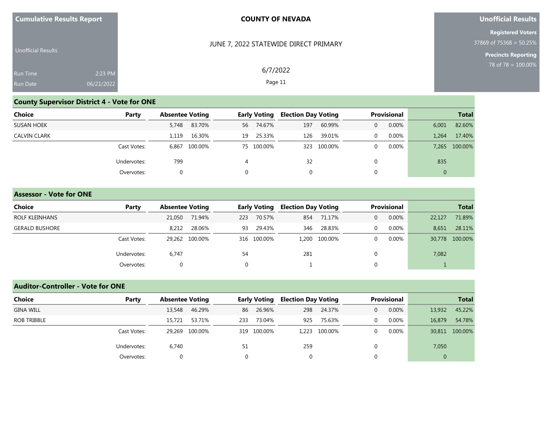| <b>Cumulative Results Report</b> |  |  |
|----------------------------------|--|--|
|----------------------------------|--|--|

## **Unofficial Results**

**Registered Voters** 37869 of 75368 = 50.25%

**Precincts Reporting**

| <b>Unofficial Results</b> |            | JUNE 7, 2022 STATEWIDE DIRECT PRIMARY |
|---------------------------|------------|---------------------------------------|
| <b>Run Time</b>           | 2:23 PM    | 6/7/2022                              |
| <b>Run Date</b>           | 06/21/2022 | Page 11                               |

# **County Supervisor District 4 - Vote for ONE**

| <b>Choice</b>       | Party       | <b>Absentee Voting</b> |         |          | <b>Early Voting</b> |              | <b>Election Day Voting</b> |          | <b>Provisional</b> | <b>Total</b>   |               |
|---------------------|-------------|------------------------|---------|----------|---------------------|--------------|----------------------------|----------|--------------------|----------------|---------------|
| <b>SUSAN HOEK</b>   |             | 5,748                  | 83.70%  | 56       | 74.67%              | 197          | 60.99%                     | 0        | $0.00\%$           | 6,001          | 82.60%        |
| <b>CALVIN CLARK</b> |             | 1,119                  | 16.30%  | 19       | 25.33%              | 126          | 39.01%                     | 0        | $0.00\%$           | 1,264          | 17.40%        |
|                     | Cast Votes: | 6.867                  | 100.00% |          | 75 100.00%          |              | 323 100.00%                | $\Omega$ | 0.00%              |                | 7,265 100.00% |
|                     | Undervotes: | 799                    |         | 4        |                     | 32           |                            |          |                    | 835            |               |
|                     | Overvotes:  | $\Omega$               |         | $\Omega$ |                     | $\mathbf{0}$ |                            | 0        |                    | $\overline{0}$ |               |

#### **Assessor - Vote for ONE**

| Choice                | Party       | <b>Absentee Voting</b> |        |          | <b>Early Voting</b> |     | <b>Election Day Voting</b> |   | <b>Provisional</b> |        | <b>Total</b>   |
|-----------------------|-------------|------------------------|--------|----------|---------------------|-----|----------------------------|---|--------------------|--------|----------------|
| ROLF KLEINHANS        |             | 21,050                 | 71.94% | 223      | 70.57%              | 854 | 71.17%                     | 0 | 0.00%              | 22,127 | 71.89%         |
| <b>GERALD BUSHORE</b> |             | 8.212                  | 28.06% | 93       | 29.43%              | 346 | 28.83%                     |   | 0.00%              | 8,651  | 28.11%         |
|                       | Cast Votes: | 29.262 100.00%         |        |          | 316 100.00%         |     | 1,200 100.00%              |   | 0.00%              |        | 30,778 100.00% |
|                       | Undervotes: | 6.747                  |        | 54       |                     | 281 |                            |   |                    | 7,082  |                |
|                       | Overvotes:  | $\Omega$               |        | $\Omega$ |                     |     |                            |   |                    |        |                |

# **Auditor-Controller - Vote for ONE**

| Choice           | Party       | <b>Absentee Voting</b> |                |     | Early Voting |     | <b>Election Day Voting</b> |                | Provisional | <b>Total</b>   |                |
|------------------|-------------|------------------------|----------------|-----|--------------|-----|----------------------------|----------------|-------------|----------------|----------------|
| <b>GINA WILL</b> |             | 13,548                 | 46.29%         | 86  | 26.96%       | 298 | 24.37%                     | $\overline{0}$ | 0.00%       | 13,932         | 45.22%         |
| ROB TRIBBLE      |             | 15,721                 | 53.71%         | 233 | 73.04%       | 925 | 75.63%                     | $\overline{0}$ | $0.00\%$    | 16,879         | 54.78%         |
|                  | Cast Votes: |                        | 29.269 100.00% |     | 319 100.00%  |     | 1.223 100.00%              |                | 0.00%       |                | 30,811 100.00% |
|                  | Undervotes: | 6,740                  |                | 51  |              | 259 |                            |                |             | 7,050          |                |
|                  | Overvotes:  | $\Omega$               |                |     |              | 0   |                            |                |             | $\overline{0}$ |                |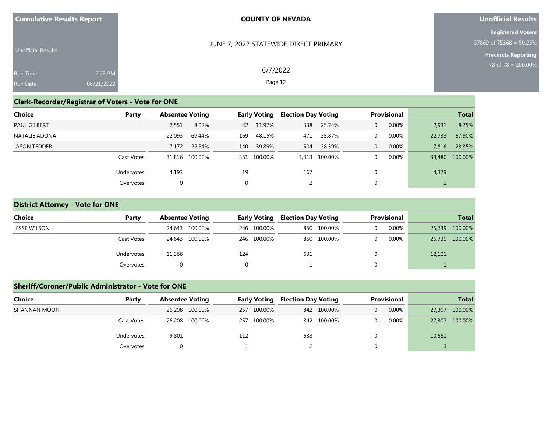| <b>Cumulative Results Report</b> |  |  |
|----------------------------------|--|--|
|                                  |  |  |

#### **Unofficial Results**

**Registered Voters** 37869 of 75368 = 50.25%

> **Precincts Reporting** 78 of 78 = 100.00%

| <b>Unofficial Results</b> |            |
|---------------------------|------------|
|                           |            |
| Run Time                  | 2:23 PM    |
| <b>Run Date</b>           | 06/21/2022 |

## JUNE 7, 2022 STATEWIDE DIRECT PRIMARY

6/7/2022 Page 12

# **Clerk-Recorder/Registrar of Voters - Vote for ONE**

| Choice              | Party       | <b>Absentee Voting</b> |                | <b>Early Voting</b> |             | <b>Election Day Voting</b> |               | <b>Provisional</b> |       | <b>Total</b> |                |
|---------------------|-------------|------------------------|----------------|---------------------|-------------|----------------------------|---------------|--------------------|-------|--------------|----------------|
| <b>PAUL GILBERT</b> |             | 2,551                  | 8.02%          | 42                  | 11.97%      | 338                        | 25.74%        |                    | 0.00% | 2,931        | 8.75%          |
| NATALIE ADONA       |             | 22.093                 | 69.44%         | 169                 | 48.15%      | 471                        | 35.87%        |                    | 0.00% | 22,733       | 67.90%         |
| <b>JASON TEDDER</b> |             | 7.172                  | 22.54%         | 140                 | 39.89%      | 504                        | 38.39%        | $\Omega$           | 0.00% | 7,816        | 23.35%         |
|                     | Cast Votes: |                        | 31,816 100.00% |                     | 351 100.00% |                            | 1,313 100.00% |                    | 0.00% |              | 33,480 100.00% |
|                     | Undervotes: | 4,193                  |                | 19                  |             | 167                        |               |                    |       | 4,379        |                |
|                     | Overvotes:  | $\Omega$               |                | 0                   |             |                            |               |                    |       |              |                |

## **District Attorney - Vote for ONE**

| Choice       | Party       | <b>Absentee Voting</b> | Early Voting | Election Day Voting | <b>Provisional</b> | <b>Total</b>   |  |
|--------------|-------------|------------------------|--------------|---------------------|--------------------|----------------|--|
| JESSE WILSON |             | 24,643 100.00%         | 246 100.00%  | 850 100.00%         | 0.00%<br>0         | 25,739 100.00% |  |
|              | Cast Votes: | 24,643 100.00%         | 246 100.00%  | 850 100.00%         | 0.00%<br>0.        | 25,739 100.00% |  |
|              | Undervotes: | 11,366                 | 124          | 631                 | 0                  | 12,121         |  |
|              | Overvotes:  | $\Omega$               |              |                     | $\Omega$           |                |  |

## **Sheriff/Coroner/Public Administrator - Vote for ONE**

| Choice       | Party       | <b>Absentee Voting</b> | <b>Early Voting</b> | <b>Election Day Voting</b> | <b>Provisional</b> | <b>Total</b>      |  |
|--------------|-------------|------------------------|---------------------|----------------------------|--------------------|-------------------|--|
| SHANNAN MOON |             | 26,208 100.00%         | 257 100.00%         | 842 100.00%                | $0.00\%$           | 100.00%<br>27,307 |  |
|              | Cast Votes: | 26,208 100.00%         | 257 100.00%         | 842 100.00%                | 0.00%              | 27,307 100.00%    |  |
|              | Undervotes: | 9,801                  | 112                 | 638                        |                    | 10,551            |  |
|              | Overvotes:  |                        |                     |                            |                    |                   |  |